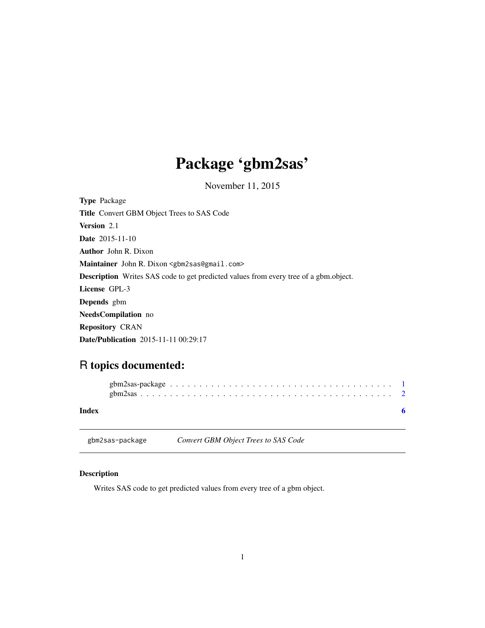# <span id="page-0-0"></span>Package 'gbm2sas'

November 11, 2015

| <b>Type Package</b>                                                                         |
|---------------------------------------------------------------------------------------------|
| <b>Title</b> Convert GBM Object Trees to SAS Code                                           |
| <b>Version</b> 2.1                                                                          |
| <b>Date</b> 2015-11-10                                                                      |
| <b>Author</b> John R. Dixon                                                                 |
| Maintainer John R. Dixon <gbm2sas@gmail.com></gbm2sas@gmail.com>                            |
| <b>Description</b> Writes SAS code to get predicted values from every tree of a gbm.object. |
| License GPL-3                                                                               |
| <b>Depends</b> gbm                                                                          |
| <b>NeedsCompilation</b> no                                                                  |
| <b>Repository CRAN</b>                                                                      |
| <b>Date/Publication</b> 2015-11-11 00:29:17                                                 |

# R topics documented:

| Index |  |  |  |  |  |  |  |  |  |  |  |  |  |  |  |  |  |
|-------|--|--|--|--|--|--|--|--|--|--|--|--|--|--|--|--|--|

gbm2sas-package *Convert GBM Object Trees to SAS Code*

# Description

Writes SAS code to get predicted values from every tree of a gbm object.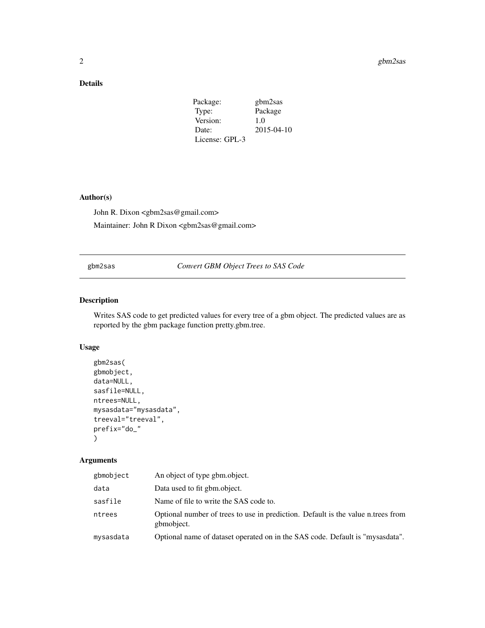## <span id="page-1-0"></span>Details

| Package:       | gbm2sas    |
|----------------|------------|
| Type:          | Package    |
| Version:       | 1.0        |
| Date:          | 2015-04-10 |
| License: GPL-3 |            |

#### Author(s)

John R. Dixon <gbm2sas@gmail.com>

Maintainer: John R Dixon <gbm2sas@gmail.com>

#### gbm2sas *Convert GBM Object Trees to SAS Code*

# Description

Writes SAS code to get predicted values for every tree of a gbm object. The predicted values are as reported by the gbm package function pretty.gbm.tree.

#### Usage

```
gbm2sas(
gbmobject,
data=NULL,
sasfile=NULL,
ntrees=NULL,
mysasdata="mysasdata",
treeval="treeval",
prefix="do_"
\mathcal{E}
```
## Arguments

| gbmobject | An object of type gbm.object.                                                                  |
|-----------|------------------------------------------------------------------------------------------------|
| data      | Data used to fit gbm.object.                                                                   |
| sasfile   | Name of file to write the SAS code to.                                                         |
| ntrees    | Optional number of trees to use in prediction. Default is the value n.trees from<br>gbmobject. |
| mysasdata | Optional name of dataset operated on in the SAS code. Default is "mysasdata".                  |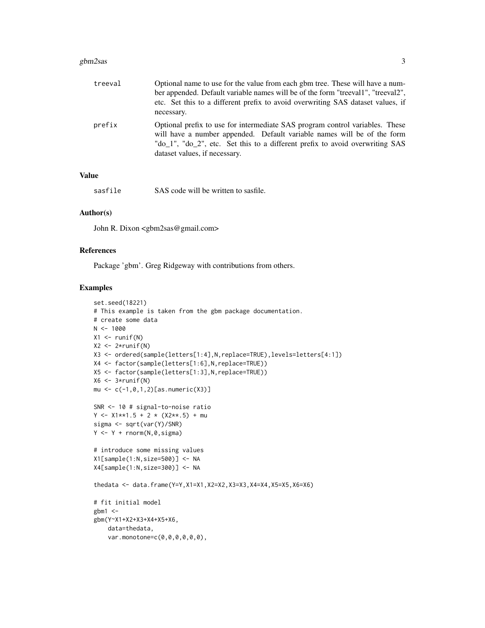#### gbm2sas 3

| treeval | Optional name to use for the value from each gbm tree. These will have a num-<br>ber appended. Default variable names will be of the form "treeval1", "treeval2",<br>etc. Set this to a different prefix to avoid overwriting SAS dataset values, if<br>necessary.       |
|---------|--------------------------------------------------------------------------------------------------------------------------------------------------------------------------------------------------------------------------------------------------------------------------|
| prefix  | Optional prefix to use for intermediate SAS program control variables. These<br>will have a number appended. Default variable names will be of the form<br>"do_1", "do_2", etc. Set this to a different prefix to avoid overwriting SAS<br>dataset values, if necessary. |

## Value

sasfile SAS code will be written to sasfile.

#### Author(s)

John R. Dixon <gbm2sas@gmail.com>

#### References

Package 'gbm'. Greg Ridgeway with contributions from others.

#### Examples

```
set.seed(18221)
# This example is taken from the gbm package documentation.
# create some data
N < - 1000X1 \leftarrow runif(N)X2 \leftarrow 2*runif(N)X3 <- ordered(sample(letters[1:4],N,replace=TRUE),levels=letters[4:1])
X4 <- factor(sample(letters[1:6],N,replace=TRUE))
X5 <- factor(sample(letters[1:3],N,replace=TRUE))
X6 \leftarrow 3*runif(N)mu <- c(-1,0,1,2)[as.numeric(X3)]
SNR <- 10 # signal-to-noise ratio
Y \le -X1**1.5 + 2 * (X2**.5) + musigma <- sqrt(var(Y)/SNR)
Y \leftarrow Y + \text{norm}(N, \emptyset, \text{sigma})# introduce some missing values
X1[sample(1:N,size=500)] <- NA
X4[sample(1:N,size=300)] <- NA
thedata <- data.frame(Y=Y,X1=X1,X2=X2,X3=X3,X4=X4,X5=X5,X6=X6)
# fit initial model
gbm1 < -gbm(Y~X1+X2+X3+X4+X5+X6,
    data=thedata,
    var.monotone=c(0,0,0,0,0,0),
```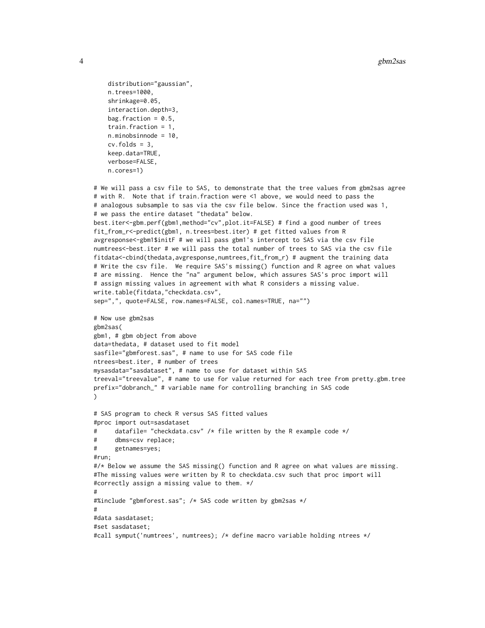```
4 gbm2sas
```

```
distribution="gaussian",
   n.trees=1000,
    shrinkage=0.05,
    interaction.depth=3,
   bag.fraction = 0.5,
    train.fraction = 1,
   n.minobsinnode = 10,
    cv.folds = 3,
    keep.data=TRUE,
    verbose=FALSE,
    n.cores=1)
# We will pass a csv file to SAS, to demonstrate that the tree values from gbm2sas agree
# with R. Note that if train.fraction were <1 above, we would need to pass the
# analogous subsample to sas via the csv file below. Since the fraction used was 1,
# we pass the entire dataset "thedata" below.
best.iter<-gbm.perf(gbm1,method="cv",plot.it=FALSE) # find a good number of trees
fit_from_r<-predict(gbm1, n.trees=best.iter) # get fitted values from R
avgresponse<-gbm1$initF # we will pass gbm1's intercept to SAS via the csv file
numtrees<-best.iter # we will pass the total number of trees to SAS via the csv file
fitdata<-cbind(thedata,avgresponse,numtrees,fit_from_r) # augment the training data
# Write the csv file. We require SAS's missing() function and R agree on what values
# are missing. Hence the "na" argument below, which assures SAS's proc import will
# assign missing values in agreement with what R considers a missing value.
write.table(fitdata,"checkdata.csv",
sep=",", quote=FALSE, row.names=FALSE, col.names=TRUE, na="")
# Now use gbm2sas
gbm2sas(
gbm1, # gbm object from above
data=thedata, # dataset used to fit model
sasfile="gbmforest.sas", # name to use for SAS code file
ntrees=best.iter, # number of trees
mysasdata="sasdataset", # name to use for dataset within SAS
treeval="treevalue", # name to use for value returned for each tree from pretty.gbm.tree
prefix="dobranch_" # variable name for controlling branching in SAS code
\lambda# SAS program to check R versus SAS fitted values
#proc import out=sasdataset
# datafile= "checkdata.csv" /* file written by the R example code */
# dbms=csv replace;
# getnames=yes;
#run;
#/* Below we assume the SAS missing() function and R agree on what values are missing.
#The missing values were written by R to checkdata.csv such that proc import will
#correctly assign a missing value to them. */
#
#%include "gbmforest.sas"; /* SAS code written by gbm2sas */
#
#data sasdataset;
#set sasdataset;
#call symput('numtrees', numtrees); /* define macro variable holding ntrees */
```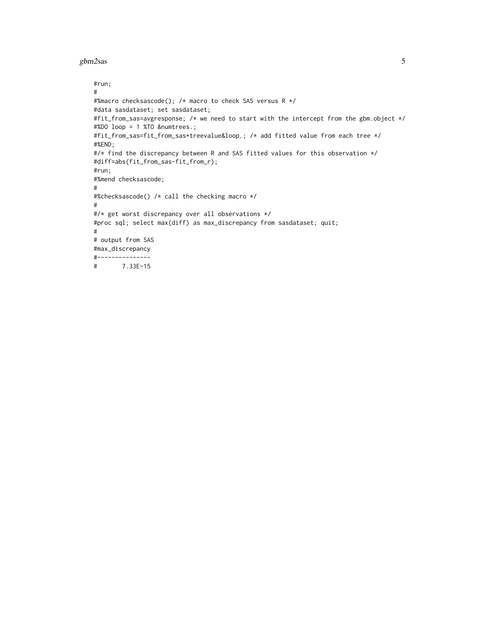#### gbm2sas 5

```
#run;
#
#%macro checksascode(); /* macro to check SAS versus R */
#data sasdataset; set sasdataset;
#fit_from_sas=avgresponse; /* we need to start with the intercept from the gbm.object */
#%DO loop = 1 %TO &numtrees.;
#fit_from_sas=fit_from_sas+treevalue&loop.; /* add fitted value from each tree */
#%END;
#/* find the discrepancy between R and SAS fitted values for this observation */
#diff=abs(fit_from_sas-fit_from_r);
#run;
#%mend checksascode;
#
#%checksascode() /* call the checking macro */
#
#/* get worst discrepancy over all observations */
#proc sql; select max(diff) as max_discrepancy from sasdataset; quit;
#
# output from SAS
#max_discrepancy
#---------------
# 7.33E-15
```